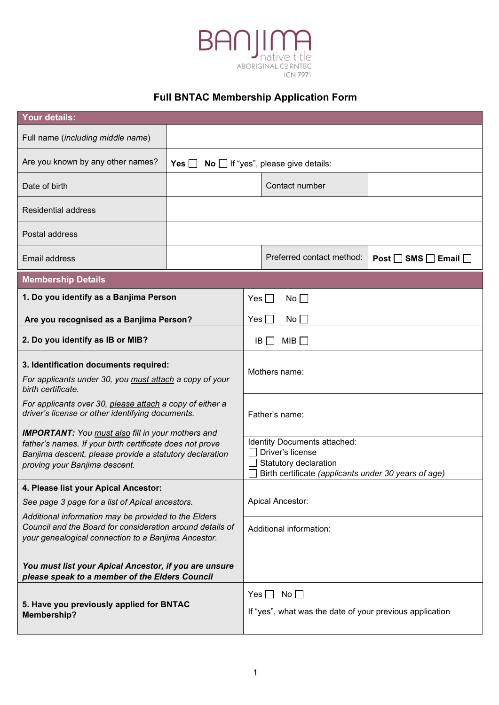

# **Full BNTAC Membership Application Form**

| <b>Your details:</b>                                                                                                                                                                                             |                                              |                                                                                                                                   |                                                                                  |                                     |  |
|------------------------------------------------------------------------------------------------------------------------------------------------------------------------------------------------------------------|----------------------------------------------|-----------------------------------------------------------------------------------------------------------------------------------|----------------------------------------------------------------------------------|-------------------------------------|--|
| Full name (including middle name)                                                                                                                                                                                |                                              |                                                                                                                                   |                                                                                  |                                     |  |
| Are you known by any other names?                                                                                                                                                                                | $No$ If "yes", please give details:<br>Yes I |                                                                                                                                   |                                                                                  |                                     |  |
| Date of birth                                                                                                                                                                                                    |                                              |                                                                                                                                   | Contact number                                                                   |                                     |  |
| <b>Residential address</b>                                                                                                                                                                                       |                                              |                                                                                                                                   |                                                                                  |                                     |  |
| Postal address                                                                                                                                                                                                   |                                              |                                                                                                                                   |                                                                                  |                                     |  |
| Email address                                                                                                                                                                                                    |                                              |                                                                                                                                   | Preferred contact method:                                                        | Post $\Box$ SMS $\Box$ Email $\Box$ |  |
| <b>Membership Details</b>                                                                                                                                                                                        |                                              |                                                                                                                                   |                                                                                  |                                     |  |
|                                                                                                                                                                                                                  | 1. Do you identify as a Banjima Person       |                                                                                                                                   | No<br>Yes                                                                        |                                     |  |
| Are you recognised as a Banjima Person?                                                                                                                                                                          |                                              | $No$ $\Box$<br>Yes                                                                                                                |                                                                                  |                                     |  |
| 2. Do you identify as IB or MIB?                                                                                                                                                                                 |                                              | MIB $\Box$<br>IB I                                                                                                                |                                                                                  |                                     |  |
| 3. Identification documents required:<br>For applicants under 30, you must attach a copy of your<br>birth certificate.                                                                                           |                                              | Mothers name:                                                                                                                     |                                                                                  |                                     |  |
| For applicants over 30, please attach a copy of either a<br>driver's license or other identifying documents.                                                                                                     |                                              | Father's name:                                                                                                                    |                                                                                  |                                     |  |
| <b>IMPORTANT:</b> You must also fill in your mothers and<br>father's names. If your birth certificate does not prove<br>Banjima descent, please provide a statutory declaration<br>proving your Banjima descent. |                                              | Identity Documents attached:<br>Driver's license<br>Statutory declaration<br>Birth certificate (applicants under 30 years of age) |                                                                                  |                                     |  |
| 4. Please list your Apical Ancestor:                                                                                                                                                                             |                                              |                                                                                                                                   |                                                                                  |                                     |  |
| See page 3 page for a list of Apical ancestors.                                                                                                                                                                  |                                              |                                                                                                                                   | Apical Ancestor:                                                                 |                                     |  |
| Additional information may be provided to the Elders<br>Council and the Board for consideration around details of<br>your genealogical connection to a Banjima Ancestor.                                         |                                              | Additional information:                                                                                                           |                                                                                  |                                     |  |
| You must list your Apical Ancestor, if you are unsure<br>please speak to a member of the Elders Council                                                                                                          |                                              |                                                                                                                                   |                                                                                  |                                     |  |
| 5. Have you previously applied for BNTAC<br>Membership?                                                                                                                                                          |                                              |                                                                                                                                   | Yes $\Box$ No $\Box$<br>If "yes", what was the date of your previous application |                                     |  |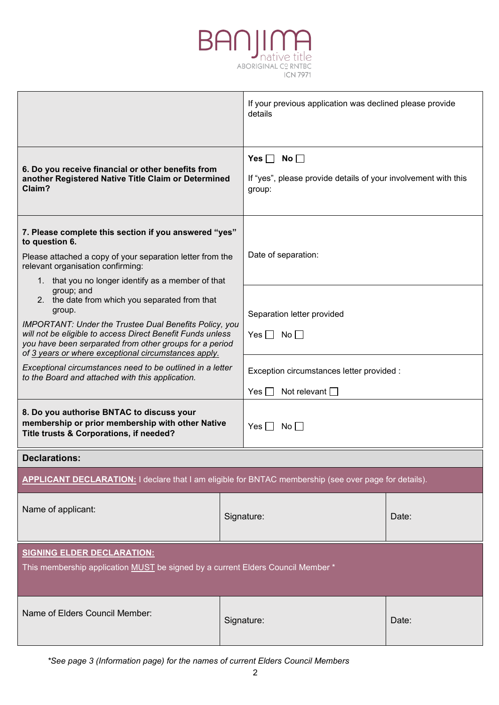

|                                                                                                                                                                                                                                                                  |  | If your previous application was declined please provide<br>details                              |       |  |
|------------------------------------------------------------------------------------------------------------------------------------------------------------------------------------------------------------------------------------------------------------------|--|--------------------------------------------------------------------------------------------------|-------|--|
| 6. Do you receive financial or other benefits from<br>another Registered Native Title Claim or Determined<br>Claim?                                                                                                                                              |  | Yes $\Box$ No $\Box$<br>If "yes", please provide details of your involvement with this<br>group: |       |  |
| 7. Please complete this section if you answered "yes"<br>to question 6.<br>Please attached a copy of your separation letter from the<br>relevant organisation confirming:<br>1. that you no longer identify as a member of that                                  |  | Date of separation:                                                                              |       |  |
| group; and<br>2. the date from which you separated from that<br>group.<br><b>IMPORTANT: Under the Trustee Dual Benefits Policy, you</b><br>will not be eligible to access Direct Benefit Funds unless<br>you have been serparated from other groups for a period |  | Separation letter provided<br>Yes $\Box$ No $\Box$                                               |       |  |
| of 3 years or where exceptional circumstances apply.<br>Exceptional circumstances need to be outlined in a letter<br>to the Board and attached with this application.                                                                                            |  | Exception circumstances letter provided :<br>Not relevant $\square$<br>Yes                       |       |  |
| 8. Do you authorise BNTAC to discuss your<br>membership or prior membership with other Native<br>Title trusts & Corporations, if needed?                                                                                                                         |  | Yes $\Box$ No $\Box$                                                                             |       |  |
| <b>Declarations:</b>                                                                                                                                                                                                                                             |  |                                                                                                  |       |  |
| <b>APPLICANT DECLARATION:</b> I declare that I am eligible for BNTAC membership (see over page for details).                                                                                                                                                     |  |                                                                                                  |       |  |
| Name of applicant:                                                                                                                                                                                                                                               |  | Signature:                                                                                       | Date: |  |
| <b>SIGNING ELDER DECLARATION:</b><br>This membership application MUST be signed by a current Elders Council Member *                                                                                                                                             |  |                                                                                                  |       |  |
| Name of Elders Council Member:                                                                                                                                                                                                                                   |  | Signature:                                                                                       | Date: |  |